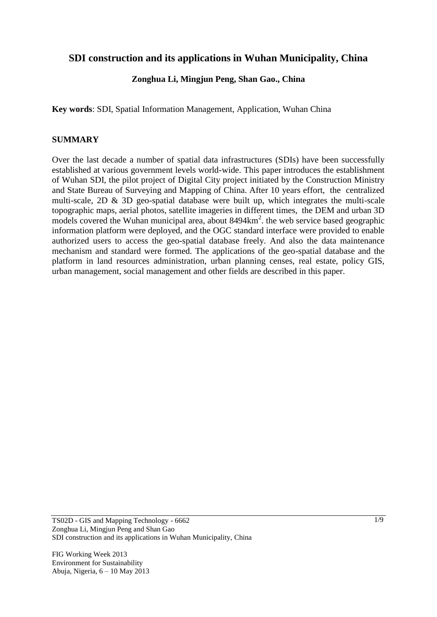# **SDI construction and its applications in Wuhan Municipality, China**

## **Zonghua Li, Mingjun Peng, Shan Gao., China**

**Key words**: SDI, Spatial Information Management, Application, Wuhan China

### **SUMMARY**

Over the last decade a number of spatial data infrastructures (SDIs) have been successfully established at various government levels world-wide. This paper introduces the establishment of Wuhan SDI, the pilot project of Digital City project initiated by the Construction Ministry and State Bureau of Surveying and Mapping of China. After 10 years effort, the centralized multi-scale,  $2D \& 3D$  geo-spatial database were built up, which integrates the multi-scale topographic maps, aerial photos, satellite imageries in different times, the DEM and urban 3D models covered the Wuhan municipal area, about 8494km<sup>2</sup>. the web service based geographic information platform were deployed, and the OGC standard interface were provided to enable authorized users to access the geo-spatial database freely. And also the data maintenance mechanism and standard were formed. The applications of the geo-spatial database and the platform in land resources administration, urban planning censes, real estate, policy GIS, urban management, social management and other fields are described in this paper.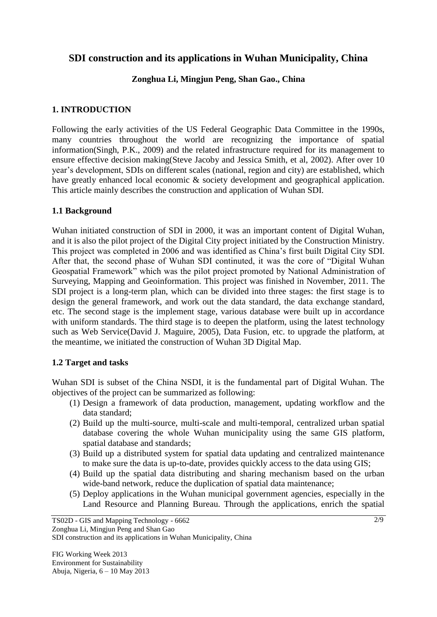# **SDI construction and its applications in Wuhan Municipality, China**

### **Zonghua Li, Mingjun Peng, Shan Gao., China**

## **1. INTRODUCTION**

Following the early activities of the US Federal Geographic Data Committee in the 1990s, many countries throughout the world are recognizing the importance of spatial information(Singh, P.K., 2009) and the related infrastructure required for its management to ensure effective decision making(Steve Jacoby and Jessica Smith, et al, 2002). After over 10 year's development, SDIs on different scales (national, region and city) are established, which have greatly enhanced local economic & society development and geographical application. This article mainly describes the construction and application of Wuhan SDI.

### **1.1 Background**

Wuhan initiated construction of SDI in 2000, it was an important content of Digital Wuhan, and it is also the pilot project of the Digital City project initiated by the Construction Ministry. This project was completed in 2006 and was identified as China's first built Digital City SDI. After that, the second phase of Wuhan SDI continuted, it was the core of "Digital Wuhan Geospatial Framework" which was the pilot project promoted by National Administration of Surveying, Mapping and Geoinformation. This project was finished in November, 2011. The SDI project is a long-term plan, which can be divided into three stages: the first stage is to design the general framework, and work out the data standard, the data exchange standard, etc. The second stage is the implement stage, various database were built up in accordance with uniform standards. The third stage is to deepen the platform, using the latest technology such as Web Service(David J. Maguire, 2005), Data Fusion, etc. to upgrade the platform, at the meantime, we initiated the construction of Wuhan 3D Digital Map.

### **1.2 Target and tasks**

Wuhan SDI is subset of the China NSDI, it is the fundamental part of Digital Wuhan. The objectives of the project can be summarized as following:

- (1) Design a framework of data production, management, updating workflow and the data standard;
- (2) Build up the multi-source, multi-scale and multi-temporal, centralized urban spatial database covering the whole Wuhan municipality using the same GIS platform, spatial database and standards;
- (3) Build up a distributed system for spatial data updating and centralized maintenance to make sure the data is up-to-date, provides quickly access to the data using GIS;
- (4) Build up the spatial data distributing and sharing mechanism based on the urban wide-band network, reduce the duplication of spatial data maintenance;
- (5) Deploy applications in the Wuhan municipal government agencies, especially in the Land Resource and Planning Bureau. Through the applications, enrich the spatial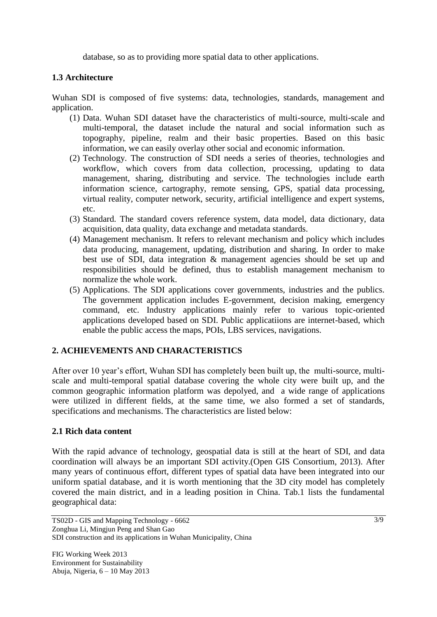database, so as to providing more spatial data to other applications.

# **1.3 Architecture**

Wuhan SDI is composed of five systems: data, technologies, standards, management and application.

- (1) Data. Wuhan SDI dataset have the characteristics of multi-source, multi-scale and multi-temporal, the dataset include the natural and social information such as topography, pipeline, realm and their basic properties. Based on this basic information, we can easily overlay other social and economic information.
- (2) Technology. The construction of SDI needs a series of theories, technologies and workflow, which covers from data collection, processing, updating to data management, sharing, distributing and service. The technologies include earth information science, cartography, remote sensing, GPS, spatial data processing, virtual reality, computer network, security, artificial intelligence and expert systems, etc.
- (3) Standard. The standard covers reference system, data model, data dictionary, data acquisition, data quality, data exchange and metadata standards.
- (4) Management mechanism. It refers to relevant mechanism and policy which includes data producing, management, updating, distribution and sharing. In order to make best use of SDI, data integration & management agencies should be set up and responsibilities should be defined, thus to establish management mechanism to normalize the whole work.
- (5) Applications. The SDI applications cover governments, industries and the publics. The government application includes E-government, decision making, emergency command, etc. Industry applications mainly refer to various topic-oriented applications developed based on SDI. Public applicatiions are internet-based, which enable the public access the maps, POIs, LBS services, navigations.

### **2. ACHIEVEMENTS AND CHARACTERISTICS**

After over 10 year's effort, Wuhan SDI has completely been built up, the multi-source, multiscale and multi-temporal spatial database covering the whole city were built up, and the common geographic information platform was depolyed, and a wide range of applications were utilized in different fields, at the same time, we also formed a set of standards, specifications and mechanisms. The characteristics are listed below:

#### **2.1 Rich data content**

With the rapid advance of technology, geospatial data is still at the heart of SDI, and data coordination will always be an important SDI activity.(Open GIS Consortium, 2013). After many years of continuous effort, different types of spatial data have been integrated into our uniform spatial database, and it is worth mentioning that the 3D city model has completely covered the main district, and in a leading position in China. Tab.1 lists the fundamental geographical data: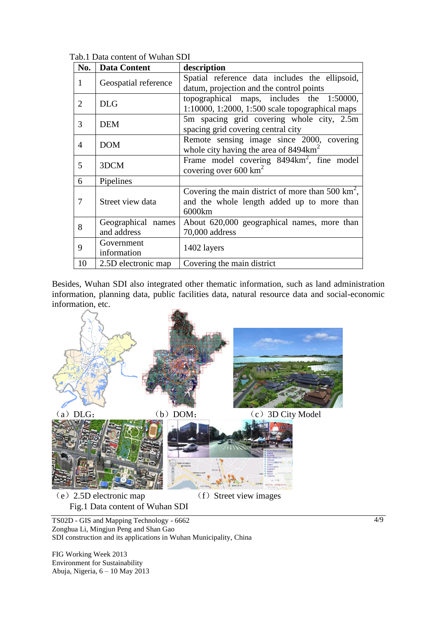| No. | <b>Data Content</b>  | description                                                 |
|-----|----------------------|-------------------------------------------------------------|
| 1   | Geospatial reference | Spatial reference data includes the ellipsoid,              |
|     |                      | datum, projection and the control points                    |
| 2   | <b>DLG</b>           | topographical maps, includes the 1:50000,                   |
|     |                      | 1:10000, 1:2000, 1:500 scale topographical maps             |
| 3   | <b>DEM</b>           | 5m spacing grid covering whole city, 2.5m                   |
|     |                      | spacing grid covering central city                          |
| 4   | <b>DOM</b>           | Remote sensing image since 2000, covering                   |
|     |                      | whole city having the area of $8494 \text{km}^2$            |
| 5   | 3DCM                 | Frame model covering 8494km <sup>2</sup> , fine model       |
|     |                      | covering over 600 $km^2$                                    |
| 6   | Pipelines            |                                                             |
| 7   |                      | Covering the main district of more than 500 $\text{km}^2$ , |
|     | Street view data     | and the whole length added up to more than                  |
|     |                      | 6000km                                                      |
| 8   | Geographical names   | About 620,000 geographical names, more than                 |
|     | and address          | 70,000 address                                              |
| 9   | Government           | 1402 layers                                                 |
|     | information          |                                                             |
| 10  | 2.5D electronic map  | Covering the main district                                  |

Tab.1 Data content of Wuhan SDI

Besides, Wuhan SDI also integrated other thematic information, such as land administration information, planning data, public facilities data, natural resource data and social-economic information, etc.



TS02D - GIS and Mapping Technology - 6662 Zonghua Li, Mingjun Peng and Shan Gao SDI construction and its applications in Wuhan Municipality, China

FIG Working Week 2013 Environment for Sustainability Abuja, Nigeria, 6 – 10 May 2013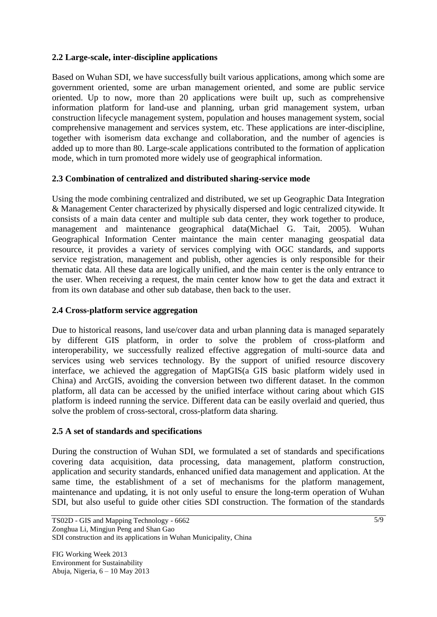# **2.2 Large-scale, inter-discipline applications**

Based on Wuhan SDI, we have successfully built various applications, among which some are government oriented, some are urban management oriented, and some are public service oriented. Up to now, more than 20 applications were built up, such as comprehensive information platform for land-use and planning, urban grid management system, urban construction lifecycle management system, population and houses management system, social comprehensive management and services system, etc. These applications are inter-discipline, together with isomerism data exchange and collaboration, and the number of agencies is added up to more than 80. Large-scale applications contributed to the formation of application mode, which in turn promoted more widely use of geographical information.

## **2.3 Combination of centralized and distributed sharing-service mode**

Using the mode combining centralized and distributed, we set up Geographic Data Integration & Management Center characterized by physically dispersed and logic centralized citywide. It consists of a main data center and multiple sub data center, they work together to produce, management and maintenance geographical data(Michael G. Tait, 2005). Wuhan Geographical Information Center maintance the main center managing geospatial data resource, it provides a variety of services complying with OGC standards, and supports service registration, management and publish, other agencies is only responsible for their thematic data. All these data are logically unified, and the main center is the only entrance to the user. When receiving a request, the main center know how to get the data and extract it from its own database and other sub database, then back to the user.

### **2.4 Cross-platform service aggregation**

Due to historical reasons, land use/cover data and urban planning data is managed separately by different GIS platform, in order to solve the problem of cross-platform and interoperability, we successfully realized effective aggregation of multi-source data and services using web services technology. By the support of unified resource discovery interface, we achieved the aggregation of MapGIS(a GIS basic platform widely used in China) and ArcGIS, avoiding the conversion between two different dataset. In the common platform, all data can be accessed by the unified interface without caring about which GIS platform is indeed running the service. Different data can be easily overlaid and queried, thus solve the problem of cross-sectoral, cross-platform data sharing.

### **2.5 A set of standards and specifications**

During the construction of Wuhan SDI, we formulated a set of standards and specifications covering data acquisition, data processing, data management, platform construction, application and security standards, enhanced unified data management and application. At the same time, the establishment of a set of mechanisms for the platform management, maintenance and updating, it is not only useful to ensure the long-term operation of Wuhan SDI, but also useful to guide other cities SDI construction. The formation of the standards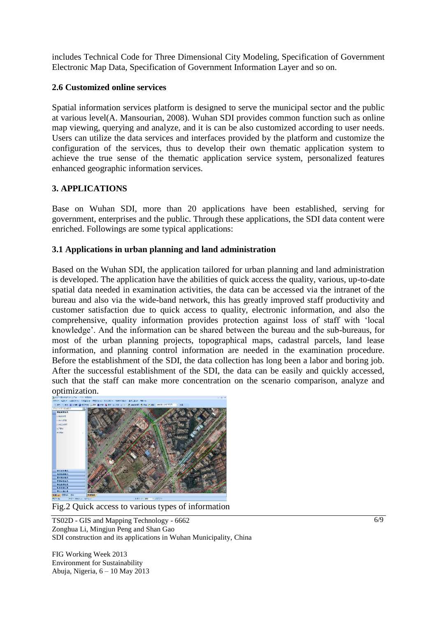includes Technical Code for Three Dimensional City Modeling, Specification of Government Electronic Map Data, Specification of Government Information Layer and so on.

## **2.6 Customized online services**

Spatial information services platform is designed to serve the municipal sector and the public at various level(A. Mansourian, 2008). Wuhan SDI provides common function such as online map viewing, querying and analyze, and it is can be also customized according to user needs. Users can utilize the data services and interfaces provided by the platform and customize the configuration of the services, thus to develop their own thematic application system to achieve the true sense of the thematic application service system, personalized features enhanced geographic information services.

# **3. APPLICATIONS**

Base on Wuhan SDI, more than 20 applications have been established, serving for government, enterprises and the public. Through these applications, the SDI data content were enriched. Followings are some typical applications:

## **3.1 Applications in urban planning and land administration**

Based on the Wuhan SDI, the application tailored for urban planning and land administration is developed. The application have the abilities of quick access the quality, various, up-to-date spatial data needed in examination activities, the data can be accessed via the intranet of the bureau and also via the wide-band network, this has greatly improved staff productivity and customer satisfaction due to quick access to quality, electronic information, and also the comprehensive, quality information provides protection against loss of staff with 'local knowledge'. And the information can be shared between the bureau and the sub-bureaus, for most of the urban planning projects, topographical maps, cadastral parcels, land lease information, and planning control information are needed in the examination procedure. Before the establishment of the SDI, the data collection has long been a labor and boring job. After the successful establishment of the SDI, the data can be easily and quickly accessed, such that the staff can make more concentration on the scenario comparison, analyze and optimization.



Fig.2 Quick access to various types of information

TS02D - GIS and Mapping Technology - 6662 Zonghua Li, Mingjun Peng and Shan Gao SDI construction and its applications in Wuhan Municipality, China

FIG Working Week 2013 Environment for Sustainability Abuja, Nigeria, 6 – 10 May 2013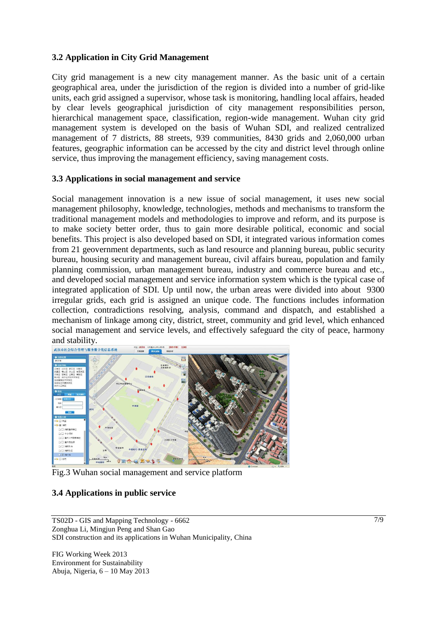#### **3.2 Application in City Grid Management**

City grid management is a new city management manner. As the basic unit of a certain geographical area, under the jurisdiction of the region is divided into a number of grid-like units, each grid assigned a supervisor, whose task is monitoring, handling local affairs, headed by clear levels geographical jurisdiction of city management responsibilities person, hierarchical management space, classification, region-wide management. Wuhan city grid management system is developed on the basis of Wuhan SDI, and realized centralized management of 7 districts, 88 streets, 939 communities, 8430 grids and 2,060,000 urban features, geographic information can be accessed by the city and district level through online service, thus improving the management efficiency, saving management costs.

#### **3.3 Applications in social management and service**

Social management innovation is a new issue of social management, it uses new social management philosophy, knowledge, technologies, methods and mechanisms to transform the traditional management models and methodologies to improve and reform, and its purpose is to make society better order, thus to gain more desirable political, economic and social benefits. This project is also developed based on SDI, it integrated various information comes from 21 geovernment departments, such as land resource and planning bureau, public security bureau, housing security and management bureau, civil affairs bureau, population and family planning commission, urban management bureau, industry and commerce bureau and etc., and developed social management and service information system which is the typical case of integrated application of SDI. Up until now, the urban areas were divided into about 9300 irregular grids, each grid is assigned an unique code. The functions includes information collection, contradictions resolving, analysis, command and dispatch, and established a mechanism of linkage among city, district, street, community and grid level, which enhanced social management and service levels, and effectively safeguard the city of peace, harmony and stability.



Fig.3 Wuhan social management and service platform

### **3.4 Applications in public service**

FIG Working Week 2013 Environment for Sustainability Abuja, Nigeria, 6 – 10 May 2013

TS02D - GIS and Mapping Technology - 6662 Zonghua Li, Mingjun Peng and Shan Gao SDI construction and its applications in Wuhan Municipality, China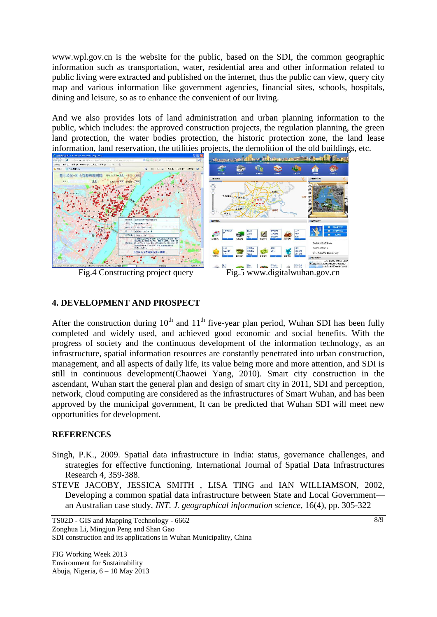[www.wpl.gov.cn](http://www.wpl.gov.cn/) is the website for the public, based on the SDI, the common geographic information such as transportation, water, residential area and other information related to public living were extracted and published on the internet, thus the public can view, query city map and various information like government agencies, financial sites, schools, hospitals, dining and leisure, so as to enhance the convenient of our living.

And we also provides lots of land administration and urban planning information to the public, which includes: the approved construction projects, the regulation planning, the green land protection, the water bodies protection, the historic protection zone, the land lease information, land reservation, the utilities projects, the demolition of the old buildings, etc.



### **4. DEVELOPMENT AND PROSPECT**

After the construction during  $10<sup>th</sup>$  and  $11<sup>th</sup>$  five-year plan period, Wuhan SDI has been fully completed and widely used, and achieved good economic and social benefits. With the progress of society and the continuous development of the information technology, as an infrastructure, spatial information resources are constantly penetrated into urban construction, management, and all aspects of daily life, its value being more and more attention, and SDI is still in continuous development(Chaowei Yang, 2010). Smart city construction in the ascendant, Wuhan start the general plan and design of smart city in 2011, SDI and perception, network, cloud computing are considered as the infrastructures of Smart Wuhan, and has been approved by the municipal government, It can be predicted that Wuhan SDI will meet new opportunities for development.

### **REFERENCES**

- Singh, P.K., 2009. Spatial data infrastructure in India: status, governance challenges, and strategies for effective functioning. International Journal of Spatial Data Infrastructures Research 4, 359-388.
- STEVE JACOBY, JESSICA SMITH , LISA TING and IAN WILLIAMSON, 2002, Developing a common spatial data infrastructure between State and Local Government an Australian case study, *INT. J. geographical information science*, 16(4), pp. 305-322